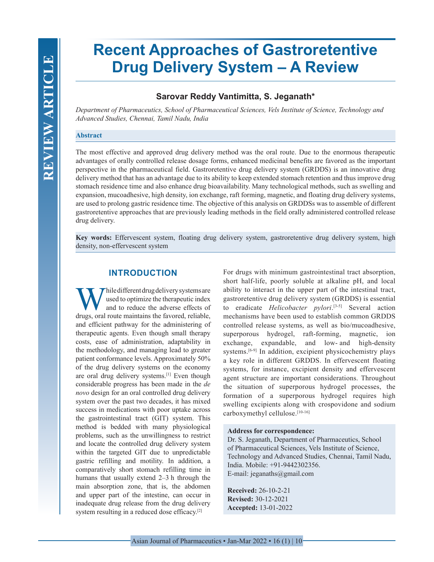# **Recent Approaches of Gastroretentive Drug Delivery System – A Review**

# **Sarovar Reddy Vantimitta, S. Jeganath\***

*Department of Pharmaceutics, School of Pharmaceutical Sciences, Vels Institute of Science, Technology and Advanced Studies, Chennai, Tamil Nadu, India*

#### **Abstract**

The most effective and approved drug delivery method was the oral route. Due to the enormous therapeutic advantages of orally controlled release dosage forms, enhanced medicinal benefits are favored as the important perspective in the pharmaceutical field. Gastroretentive drug delivery system (GRDDS) is an innovative drug delivery method that has an advantage due to its ability to keep extended stomach retention and thus improve drug stomach residence time and also enhance drug bioavailability. Many technological methods, such as swelling and expansion, mucoadhesive, high density, ion exchange, raft forming, magnetic, and floating drug delivery systems, are used to prolong gastric residence time. The objective of this analysis on GRDDSs was to assemble of different gastroretentive approaches that are previously leading methods in the field orally administered controlled release drug delivery.

**Key words:** Effervescent system, floating drug delivery system, gastroretentive drug delivery system, high density, non-effervescent system

## **INTRODUCTION**

Thile different drug delivery systems are used to optimize the therapeutic index and to reduce the adverse effects of drugs, oral route maintains the favored, reliable, and efficient pathway for the administering of therapeutic agents. Even though small therapy costs, ease of administration, adaptability in the methodology, and managing lead to greater patient conformance levels. Approximately 50% of the drug delivery systems on the economy are oral drug delivery systems.[1] Even though considerable progress has been made in the *de novo* design for an oral controlled drug delivery system over the past two decades, it has mixed success in medications with poor uptake across the gastrointestinal tract (GIT) system. This method is bedded with many physiological problems, such as the unwillingness to restrict and locate the controlled drug delivery system within the targeted GIT due to unpredictable gastric refilling and motility. In addition, a comparatively short stomach refilling time in humans that usually extend 2–3 h through the main absorption zone, that is, the abdomen and upper part of the intestine, can occur in inadequate drug release from the drug delivery system resulting in a reduced dose efficacy.[2]

For drugs with minimum gastrointestinal tract absorption, short half-life, poorly soluble at alkaline pH, and local ability to interact in the upper part of the intestinal tract, gastroretentive drug delivery system (GRDDS) is essential to eradicate *Helicobacter pylori*. [3-5] Several action mechanisms have been used to establish common GRDDS controlled release systems, as well as bio/mucoadhesive, superporous hydrogel, raft-forming, magnetic, ion exchange, expandable, and low- and high-density systems.<sup>[6-9]</sup> In addition, excipient physicochemistry plays a key role in different GRDDS. In effervescent floating systems, for instance, excipient density and effervescent agent structure are important considerations. Throughout the situation of superporous hydrogel processes, the formation of a superporous hydrogel requires high swelling excipients along with crospovidone and sodium carboxymethyl cellulose.[10-16]

#### **Address for correspondence:**

Dr. S. Jeganath, Department of Pharmaceutics, School of Pharmaceutical Sciences, Vels Institute of Science, Technology and Advanced Studies, Chennai, Tamil Nadu, India. Mobile: +91-9442302356. E-mail: jeganaths@gmail.com

**Received:** 26-10-2-21 **Revised:** 30-12-2021 **Accepted:** 13-01-2022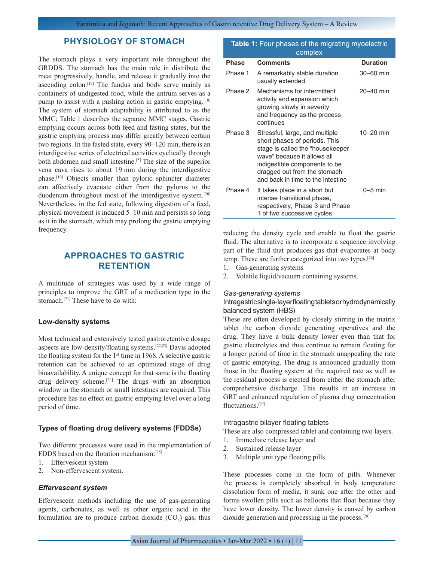## **PHYSIOLOGY OF STOMACH**

The stomach plays a very important role throughout the GRDDS. The stomach has the main role in distribute the meat progressively, handle, and release it gradually into the ascending colon.<sup>[17]</sup> The fundus and body serve mainly as containers of undigested food, while the antrum serves as a pump to assist with a pushing action in gastric emptying.[18] The system of stomach adaptability is attributed to as the MMC; Table 1 describes the separate MMC stages. Gastric emptying occurs across both feed and fasting states, but the gastric emptying process may differ greatly between certain two regions. In the fasted state, every 90–120 min, there is an interdigestive series of electrical activities cyclically through both abdomen and small intestine.<sup>[5]</sup> The size of the superior vena cava rises to about 19 mm during the interdigestive phase.<sup>[19]</sup> Objects smaller than pyloric sphincter diameter can affectively evacuate either from the pylorus to the duodenum throughout most of the interdigestive system.[20] Nevertheless, in the fed state, following digestion of a feed, physical movement is induced 5–10 min and persists so long as it in the stomach, which may prolong the gastric emptying frequency.

# **APPROACHES TO GASTRIC RETENTION**

A multitude of strategies was used by a wide range of principles to improve the GRT of a medication type in the stomach.[21] These have to do with:

#### **Low-density systems**

Most technical and extensively tested gastroretentive dosage aspects are low-density/floating systems.[22,23] Davis adopted the floating system for the  $1<sup>st</sup>$  time in 1968. A selective gastric retention can be achieved to an optimized stage of drug bioavailability. A unique concept for that same is the floating drug delivery scheme.[24] The drugs with an absorption window in the stomach or small intestines are required. This procedure has no effect on gastric emptying level over a long period of time.

## **Types of floating drug delivery systems (FDDSs)**

Two different processes were used in the implementation of FDDS based on the flotation mechanism:[25]

- 1. Effervescent system
- 2. Non-effervescent system.

## *Effervescent system*

Effervescent methods including the use of gas-generating agents, carbonates, as well as other organic acid in the formulation are to produce carbon dioxide  $(CO_2)$  gas, thus

| Table 1: Four phases of the migrating myoelectric<br>complex |                                                                                                                                                                                                                                          |                 |
|--------------------------------------------------------------|------------------------------------------------------------------------------------------------------------------------------------------------------------------------------------------------------------------------------------------|-----------------|
| <b>Phase</b>                                                 | <b>Comments</b>                                                                                                                                                                                                                          | <b>Duration</b> |
| Phase 1                                                      | A remarkably stable duration<br>usually extended                                                                                                                                                                                         | 30–60 min       |
| Phase 2                                                      | Mechanisms for intermittent<br>activity and expansion which<br>growing slowly in severity<br>and frequency as the process<br>continues                                                                                                   | $20 - 40$ min   |
| Phase 3                                                      | Stressful, large, and multiple<br>short phases of periods. This<br>stage is called the "housekeeper<br>wave" because it allows all<br>indigestible components to be<br>dragged out from the stomach<br>and back in time to the intestine | $10 - 20$ min   |
| Phase 4                                                      | It takes place in a short but<br>intense transitional phase,<br>respectively, Phase 3 and Phase<br>1 of two successive cycles                                                                                                            | $0-5$ min       |

reducing the density cycle and enable to float the gastric fluid. The alternative is to incorporate a sequence involving part of the fluid that produces gas that evaporates at body temp. These are further categorized into two types.[26]

- 1. Gas-generating systems
- 2. Volatile liquid/vacuum containing systems.

#### *Gas-generating systems*

## Intragastric single-layer floating tablets or hydrodynamically balanced system (HBS)

These are often developed by closely stirring in the matrix tablet the carbon dioxide generating operatives and the drug. They have a bulk density lower even than that for gastric electrolytes and thus continue to remain floating for a longer period of time in the stomach unappealing the rate of gastric emptying. The drug is announced gradually from those in the floating system at the required rate as well as the residual process is ejected from either the stomach after comprehensive discharge. This results in an increase in GRT and enhanced regulation of plasma drug concentration fluctuations.<sup>[27]</sup>

#### Intragastric bilayer floating tablets

These are also compressed tablet and containing two layers.

- 1. Immediate release layer and
- 2. Sustained release layer
- 3. Multiple unit type floating pills.

These processes come in the form of pills. Whenever the process is completely absorbed in body temperature dissolution form of media, it sunk one after the other and forms swollen pills such as balloons that float because they have lower density. The lower density is caused by carbon dioxide generation and processing in the process.[28]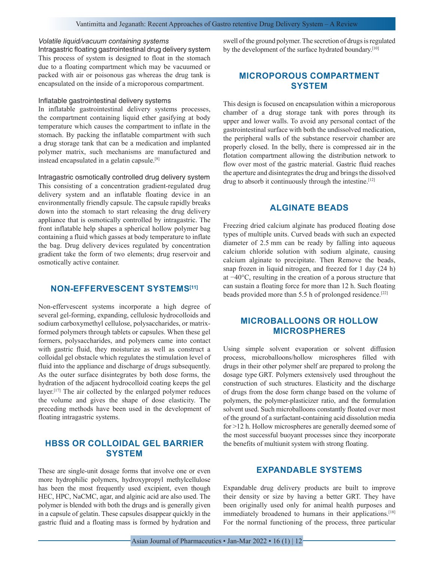### Vantimitta and Jeganath: Recent Approaches of Gastro retentive Drug Delivery System – A Review

#### *Volatile liquid/vacuum containing systems*

Intragastric floating gastrointestinal drug delivery system This process of system is designed to float in the stomach due to a floating compartment which may be vacuumed or packed with air or poisonous gas whereas the drug tank is encapsulated on the inside of a microporous compartment.

## Inflatable gastrointestinal delivery systems

In inflatable gastrointestinal delivery systems processes, the compartment containing liquid ether gasifying at body temperature which causes the compartment to inflate in the stomach. By packing the inflatable compartment with such a drug storage tank that can be a medication and implanted polymer matrix, such mechanisms are manufactured and instead encapsulated in a gelatin capsule.[8]

Intragastric osmotically controlled drug delivery system This consisting of a concentration gradient-regulated drug delivery system and an inflatable floating device in an environmentally friendly capsule. The capsule rapidly breaks down into the stomach to start releasing the drug delivery appliance that is osmotically controlled by intragastric. The front inflatable help shapes a spherical hollow polymer bag containing a fluid which gasses at body temperature to inflate the bag. Drug delivery devices regulated by concentration gradient take the form of two elements; drug reservoir and osmotically active container.

# **NON-EFFERVESCENT SYSTEMS[11]**

Non-effervescent systems incorporate a high degree of several gel-forming, expanding, cellulosic hydrocolloids and sodium carboxymethyl cellulose, polysaccharides, or matrixformed polymers through tablets or capsules. When these gel formers, polysaccharides, and polymers came into contact with gastric fluid, they moisturize as well as construct a colloidal gel obstacle which regulates the stimulation level of fluid into the appliance and discharge of drugs subsequently. As the outer surface disintegrates by both dose forms, the hydration of the adjacent hydrocolloid coating keeps the gel layer.<sup>[17]</sup> The air collected by the enlarged polymer reduces the volume and gives the shape of dose elasticity. The preceding methods have been used in the development of floating intragastric systems.

## **HBSS OR COLLOIDAL GEL BARRIER SYSTEM**

These are single-unit dosage forms that involve one or even more hydrophilic polymers, hydroxypropyl methylcellulose has been the most frequently used excipient, even though HEC, HPC, NaCMC, agar, and alginic acid are also used. The polymer is blended with both the drugs and is generally given in a capsule of gelatin. These capsules disappear quickly in the gastric fluid and a floating mass is formed by hydration and swell of the ground polymer. The secretion of drugs is regulated by the development of the surface hydrated boundary.<sup>[10]</sup>

# **MICROPOROUS COMPARTMENT SYSTEM**

This design is focused on encapsulation within a microporous chamber of a drug storage tank with pores through its upper and lower walls. To avoid any personal contact of the gastrointestinal surface with both the undissolved medication, the peripheral walls of the substance reservoir chamber are properly closed. In the belly, there is compressed air in the flotation compartment allowing the distribution network to flow over most of the gastric material. Gastric fluid reaches the aperture and disintegrates the drug and brings the dissolved drug to absorb it continuously through the intestine.<sup>[12]</sup>

# **ALGINATE BEADS**

Freezing dried calcium alginate has produced floating dose types of multiple units. Curved beads with such an expected diameter of 2.5 mm can be ready by falling into aqueous calcium chloride solution with sodium alginate, causing calcium alginate to precipitate. Then Remove the beads, snap frozen in liquid nitrogen, and freezed for 1 day (24 h) at −40°C, resulting in the creation of a porous structure that can sustain a floating force for more than 12 h. Such floating beads provided more than 5.5 h of prolonged residence.<sup>[22]</sup>

# **MICROBALLOONS OR HOLLOW MICROSPHERES**

Using simple solvent evaporation or solvent diffusion process, microballoons/hollow microspheres filled with drugs in their other polymer shelf are prepared to prolong the dosage type GRT. Polymers extensively used throughout the construction of such structures. Elasticity and the discharge of drugs from the dose form change based on the volume of polymers, the polymer-plasticizer ratio, and the formulation solvent used. Such microballoons constantly floated over most of the ground of a surfactant-containing acid dissolution media for >12 h. Hollow microspheres are generally deemed some of the most successful buoyant processes since they incorporate the benefits of multiunit system with strong floating.

## **EXPANDABLE SYSTEMS**

Expandable drug delivery products are built to improve their density or size by having a better GRT. They have been originally used only for animal health purposes and immediately broadened to humans in their applications.<sup>[18]</sup> For the normal functioning of the process, three particular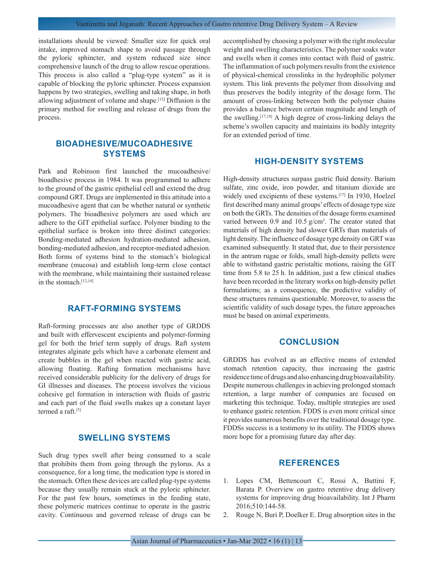installations should be viewed: Smaller size for quick oral intake, improved stomach shape to avoid passage through the pyloric sphincter, and system reduced size since comprehensive launch of the drug to allow rescue operations. This process is also called a "plug-type system" as it is capable of blocking the pyloric sphincter. Process expansion happens by two strategies, swelling and taking shape, in both allowing adjustment of volume and shape.[12] Diffusion is the primary method for swelling and release of drugs from the process.

## **BIOADHESIVE/MUCOADHESIVE SYSTEMS**

Park and Robinson first launched the mucoadhesive/ bioadhesive process in 1984. It was programmed to adhere to the ground of the gastric epithelial cell and extend the drug compound GRT. Drugs are implemented in this attitude into a mucoadhesive agent that can be whether natural or synthetic polymers. The bioadhesive polymers are used which are adhere to the GIT epithelial surface. Polymer binding to the epithelial surface is broken into three distinct categories: Bonding-mediated adhesion hydration-mediated adhesion, bonding-mediated adhesion, and receptor-mediated adhesion. Both forms of systems bind to the stomach's biological membrane (mucosa) and establish long-term close contact with the membrane, while maintaining their sustained release in the stomach.<sup>[12,14]</sup>

# **RAFT-FORMING SYSTEMS**

Raft-forming processes are also another type of GRDDS and built with effervescent excipients and polymer-forming gel for both the brief term supply of drugs. Raft system integrates alginate gels which have a carbonate element and create bubbles in the gel when reacted with gastric acid, allowing floating. Rafting formation mechanisms have received considerable publicity for the delivery of drugs for GI illnesses and diseases. The process involves the vicious cohesive gel formation in interaction with fluids of gastric and each part of the fluid swells makes up a constant layer termed a raft.<sup>[5]</sup>

## **SWELLING SYSTEMS**

Such drug types swell after being consumed to a scale that prohibits them from going through the pylorus. As a consequence, for a long time, the medication type is stored in the stomach. Often these devices are called plug-type systems because they usually remain stuck at the pyloric sphincter. For the past few hours, sometimes in the feeding state, these polymeric matrices continue to operate in the gastric cavity. Continuous and governed release of drugs can be accomplished by choosing a polymer with the right molecular weight and swelling characteristics. The polymer soaks water and swells when it comes into contact with fluid of gastric. The inflammation of such polymers results from the existence of physical-chemical crosslinks in the hydrophilic polymer system. This link prevents the polymer from dissolving and thus preserves the bodily integrity of the dosage form. The amount of cross-linking between both the polymer chains provides a balance between certain magnitude and length of the swelling.[17,18] A high degree of cross-linking delays the scheme's swollen capacity and maintains its bodily integrity for an extended period of time.

## **HIGH-DENSITY SYSTEMS**

High-density structures surpass gastric fluid density. Barium sulfate, zinc oxide, iron powder, and titanium dioxide are widely used excipients of these systems.<sup>[17]</sup> In 1930, Hoelzel first described many animal groups' effects of dosage type size on both the GRTs. The densities of the dosage forms examined varied between  $0.9$  and  $10.5$  g/cm<sup>3</sup>. The creator stated that materials of high density had slower GRTs than materials of light density. The influence of dosage type density on GRT was examined subsequently. It stated that, due to their persistence in the antrum rugae or folds, small high-density pellets were able to withstand gastric peristaltic motions, raising the GIT time from 5.8 to 25 h. In addition, just a few clinical studies have been recorded in the literary works on high-density pellet formulations; as a consequence, the predictive validity of these structures remains questionable. Moreover, to assess the scientific validity of such dosage types, the future approaches must be based on animal experiments.

## **CONCLUSION**

GRDDS has evolved as an effective means of extended stomach retention capacity, thus increasing the gastric residence time of drugs and also enhancing drug bioavailability. Despite numerous challenges in achieving prolonged stomach retention, a large number of companies are focused on marketing this technique. Today, multiple strategies are used to enhance gastric retention. FDDS is even more critical since it provides numerous benefits over the traditional dosage type. FDDSs success is a testimony to its utility. The FDDS shows more hope for a promising future day after day.

## **REFERENCES**

- 1. Lopes CM, Bettencourt C, Rossi A, Buttini F, Barata P. Overview on gastro retentive drug delivery systems for improving drug bioavailability. Int J Pharm 2016;510:144-58.
- 2. Rouge N, Buri P, Doelker E. Drug absorption sites in the